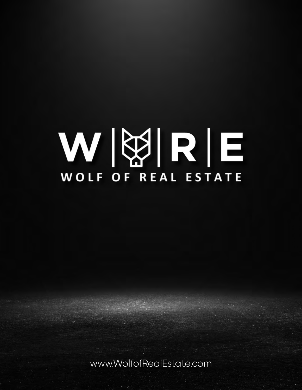# WBRE WOLF OF REAL ESTATE

www.WolfofRealEstate.com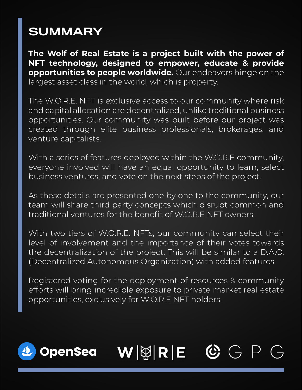### **SUMMARY**

**The Wolf of Real Estate is a project built with the power of NFT technology, designed to empower, educate & provide opportunities to people worldwide.** Our endeavors hinge on the largest asset class in the world, which is property.

The W.O.R.E. NFT is exclusive access to our community where risk and capital allocation are decentralized, unlike traditional business opportunities. Our community was built before our project was created through elite business professionals, brokerages, and venture capitalists.

With a series of features deployed within the W.O.R.E community, everyone involved will have an equal opportunity to learn, select business ventures, and vote on the next steps of the project.

As these details are presented one by one to the community, our team will share third party concepts which disrupt common and traditional ventures for the benefit of W.O.R.E NFT owners.

With two tiers of W.O.R.E. NFTs, our community can select their level of involvement and the importance of their votes towards the decentralization of the project. This will be similar to a D.A.O. (Decentralized Autonomous Organization) with added features.

Registered voting for the deployment of resources & community efforts will bring incredible exposure to private market real estate opportunities, exclusively for W.O.R.E NFT holders.

## **OpenSea**

### $\mathbf{W}$   $|\&$   $\mathbf{R}$   $|\mathbf{E}|$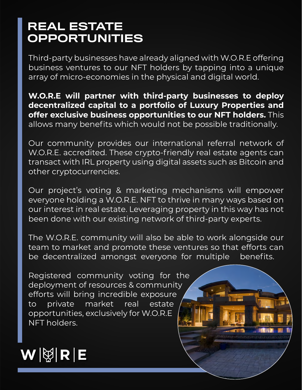#### REAL ESTATE OPPORTUNITIES

Third-party businesses have already aligned with W.O.R.E offering business ventures to our NFT holders by tapping into a unique array of micro-economies in the physical and digital world.

**W.O.R.E will partner with third-party businesses to deploy decentralized capital to a portfolio of Luxury Properties and offer exclusive business opportunities to our NFT holders.** This allows many benefits which would not be possible traditionally.

Our community provides our international referral network of W.O.R.E. accredited. These crypto-friendly real estate agents can transact with IRL property using digital assets such as Bitcoin and other cryptocurrencies.

Our project's voting & marketing mechanisms will empower everyone holding a W.O.R.E. NFT to thrive in many ways based on our interest in real estate. Leveraging property in this way has not been done with our existing network of third-party experts.

The W.O.R.E. community will also be able to work alongside our team to market and promote these ventures so that efforts can be decentralized amongst everyone for multiple benefits.

Registered community voting for the deployment of resources & community efforts will bring incredible exposure to private market real estate opportunities, exclusively for W.O.R.E NFT holders.

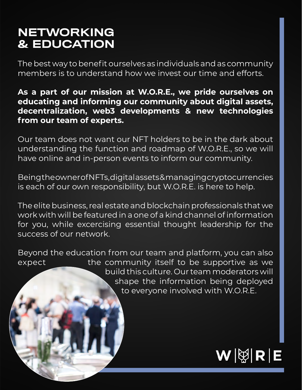#### NETWORKING & EDUCATION

The best way to benefit ourselves as individuals and as community members is to understand how we invest our time and efforts.

#### **As a part of our mission at W.O.R.E., we pride ourselves on educating and informing our community about digital assets, decentralization, web3 developments & new technologies from our team of experts.**

Our team does not want our NFT holders to be in the dark about understanding the function and roadmap of W.O.R.E., so we will have online and in-person events to inform our community.

Being the owner of NFTs, digital assets & managing cryptocurrencies is each of our own responsibility, but W.O.R.E. is here to help.

The elite business, real estate and blockchain professionals that we work with will be featured in a one of a kind channel of information for you, while excercising essential thought leadership for the success of our network.

Beyond the education from our team and platform, you can also expect the community itself to be supportive as we build this culture. Our team moderators will shape the information being deployed to everyone involved with W.O.R.E.

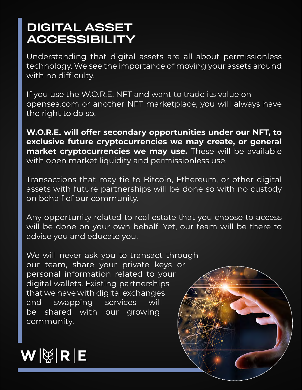#### DIGITAL ASSET ACCESSIBILITY

Understanding that digital assets are all about permissionless technology. We see the importance of moving your assets around with no difficulty.

If you use the W.O.R.E. NFT and want to trade its value on opensea.com or another NFT marketplace, you will always have the right to do so.

**W.O.R.E. will offer secondary opportunities under our NFT, to exclusive future cryptocurrencies we may create, or general market cryptocurrencies we may use.** These will be available with open market liquidity and permissionless use.

Transactions that may tie to Bitcoin, Ethereum, or other digital assets with future partnerships will be done so with no custody on behalf of our community.

Any opportunity related to real estate that you choose to access will be done on your own behalf. Yet, our team will be there to advise you and educate you.

We will never ask you to transact through our team, share your private keys or personal information related to your digital wallets. Existing partnerships that we have with digital exchanges and swapping services will be shared with our growing community.

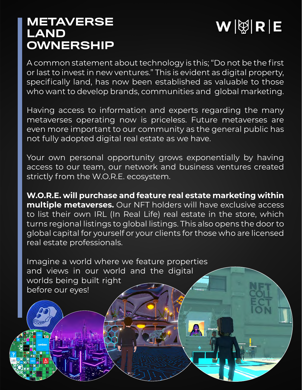#### **METAVERSE** LAND OWNERSHIP



A common statement about technology is this; "Do not be the first or last to invest in new ventures." This is evident as digital property, specifically land, has now been established as valuable to those who want to develop brands, communities and global marketing.

Having access to information and experts regarding the many metaverses operating now is priceless. Future metaverses are even more important to our community as the general public has not fully adopted digital real estate as we have.

Your own personal opportunity grows exponentially by having access to our team, our network and business ventures created strictly from the W.O.R.E. ecosystem.

**W.O.R.E. will purchase and feature real estate marketing within multiple metaverses.** Our NFT holders will have exclusive access to list their own IRL (In Real Life) real estate in the store, which turns regional listings to global listings. This also opens the door to global capital for yourself or your clients for those who are licensed real estate professionals.

Imagine a world where we feature properties and views in our world and the digital worlds being built right before our eyes!